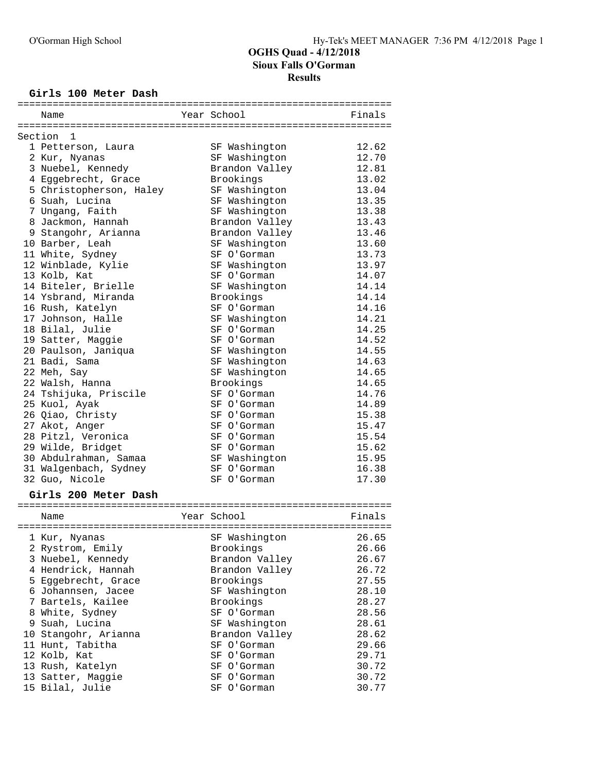### **Girls 100 Meter Dash**

| Name                                      | Year School    | Finals         |
|-------------------------------------------|----------------|----------------|
|                                           |                |                |
| Section<br>1                              |                |                |
| 1 Petterson, Laura                        | SF Washington  | 12.62          |
| 2 Kur, Nyanas                             | SF Washington  | 12.70          |
| 3 Nuebel, Kennedy                         | Brandon Valley | 12.81          |
| 4 Eggebrecht, Grace                       | Brookings      | 13.02          |
| 5 Christopherson, Haley                   | SF Washington  | 13.04          |
| 6 Suah, Lucina                            | SF Washington  | 13.35          |
| 7 Ungang, Faith                           | SF Washington  | 13.38          |
| 8 Jackmon, Hannah                         | Brandon Valley | 13.43          |
| 9 Stangohr, Arianna                       | Brandon Valley | 13.46          |
| 10 Barber, Leah                           | SF Washington  | 13.60          |
| 11 White, Sydney                          | SF O'Gorman    | 13.73          |
| 12 Winblade, Kylie                        | SF Washington  | 13.97          |
| 13 Kolb, Kat                              | SF O'Gorman    | 14.07          |
| 14 Biteler, Brielle                       | SF Washington  | 14.14          |
| 14 Ysbrand, Miranda                       | Brookings      | 14.14          |
| 16 Rush, Katelyn                          | SF O'Gorman    | 14.16          |
| 17 Johnson, Halle                         | SF Washington  | 14.21          |
| 18 Bilal, Julie                           | SF O'Gorman    | 14.25          |
| 19 Satter, Maggie                         | SF O'Gorman    | 14.52          |
| 20 Paulson, Janiqua                       | SF Washington  | 14.55          |
| 21 Badi, Sama                             | SF Washington  | 14.63          |
| 22 Meh, Say                               | SF Washington  | 14.65          |
| 22 Walsh, Hanna                           | Brookings      | 14.65          |
| 24 Tshijuka, Priscile                     | SF O'Gorman    | 14.76          |
| 25 Kuol, Ayak                             | SF O'Gorman    | 14.89          |
| 26 Qiao, Christy                          | SF O'Gorman    | 15.38          |
| 27 Akot, Anger                            | SF O'Gorman    | 15.47          |
| 28 Pitzl, Veronica                        | SF O'Gorman    | 15.54          |
| 29 Wilde, Bridget                         | SF O'Gorman    | 15.62          |
| 30 Abdulrahman, Samaa                     | SF Washington  | 15.95          |
| 31 Walgenbach, Sydney                     | SF O'Gorman    | 16.38          |
| 32 Guo, Nicole                            | SF O'Gorman    | 17.30          |
|                                           |                |                |
| Girls 200 Meter Dash                      |                |                |
|                                           | Year School    |                |
| Name                                      |                | Finals         |
| 1 Kur, Nyanas                             | SF Washington  | 26.65          |
|                                           | Brookings      | 26.66          |
| 2 Rystrom, Emily<br>3 Nuebel, Kennedy     | Brandon Valley | 26.67          |
|                                           | Brandon Valley | 26.72          |
| 4 Hendrick, Hannah<br>5 Eggebrecht, Grace | Brookings      | 27.55          |
| 6 Johannsen, Jacee                        | SF Washington  | 28.10          |
| 7 Bartels, Kailee                         | Brookings      | 28.27          |
|                                           | SF O'Gorman    |                |
| 8 White, Sydney<br>9 Suah, Lucina         | SF Washington  | 28.56<br>28.61 |
| 10 Stangohr, Arianna                      | Brandon Valley | 28.62          |
| 11 Hunt, Tabitha                          | SF O'Gorman    | 29.66          |
| 12 Kolb, Kat                              | SF O'Gorman    | 29.71          |
|                                           | SF O'Gorman    | 30.72          |
| 13 Rush, Katelyn<br>13 Satter, Maggie     | SF O'Gorman    | 30.72          |
| 15 Bilal, Julie                           | SF O'Gorman    | 30.77          |
|                                           |                |                |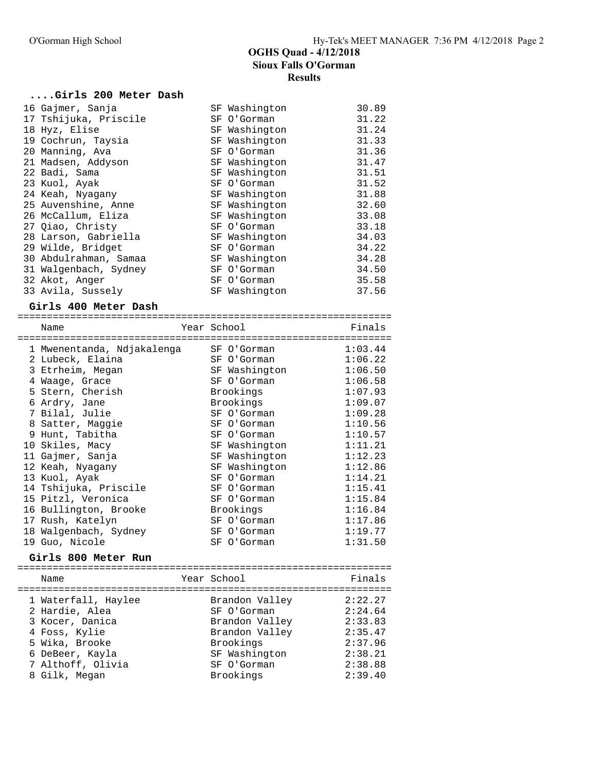#### **....Girls 200 Meter Dash**

| 16 Gajmer, Sanja      | SF Washington | 30.89 |
|-----------------------|---------------|-------|
| 17 Tshijuka, Priscile | SF O'Gorman   | 31.22 |
| 18 Hyz, Elise         | SF Washington | 31.24 |
| 19 Cochrun, Taysia    | SF Washington | 31.33 |
| 20 Manning, Ava       | SF O'Gorman   | 31.36 |
| 21 Madsen, Addyson    | SF Washington | 31.47 |
| 22 Badi, Sama         | SF Washington | 31.51 |
| 23 Kuol, Ayak         | SF O'Gorman   | 31.52 |
| 24 Keah, Nyagany      | SF Washington | 31.88 |
| 25 Auvenshine, Anne   | SF Washington | 32.60 |
| 26 McCallum, Eliza    | SF Washington | 33.08 |
| 27 Oiao, Christy      | SF O'Gorman   | 33.18 |
| 28 Larson, Gabriella  | SF Washington | 34.03 |
| 29 Wilde, Bridget     | SF O'Gorman   | 34.22 |
| 30 Abdulrahman, Samaa | SF Washington | 34.28 |
| 31 Walgenbach, Sydney | SF O'Gorman   | 34.50 |
| 32 Akot, Anger        | SF O'Gorman   | 35.58 |
| 33 Avila, Sussely     | SF Washington | 37.56 |

#### **Girls 400 Meter Dash**

| Name                                        | Year School |    |                              | Finals             |
|---------------------------------------------|-------------|----|------------------------------|--------------------|
| 1 Mwenentanda, Ndjakalenga                  |             |    | SF O'Gorman                  | 1:03.44            |
| 2 Lubeck, Elaina<br>3 Etrheim, Megan        |             |    | SF O'Gorman<br>SF Washington | 1:06.22<br>1:06.50 |
| 4 Waaqe, Grace                              |             |    | SF O'Gorman                  | 1:06.58            |
| 5 Stern, Cherish                            |             |    | Brookings                    | 1:07.93            |
| 6 Ardry, Jane                               |             |    | Brookings                    | 1:09.07            |
| 7 Bilal, Julie<br>8 Satter, Maggie          |             |    | SF O'Gorman<br>SF O'Gorman   | 1:09.28<br>1:10.56 |
| 9 Hunt, Tabitha                             |             | SF | O'Gorman                     | 1:10.57            |
| 10 Skiles, Macy                             |             |    | SF Washington                | 1:11.21            |
| 11 Gajmer, Sanja                            |             |    | SF Washington                | 1:12.23            |
| 12 Keah, Nyagany                            |             |    | SF Washington                | 1:12.86            |
| 13 Kuol, Ayak                               |             |    | SF O'Gorman                  | 1:14.21            |
| 14 Tshijuka, Priscile                       |             |    | SF O'Gorman                  | 1:15.41            |
| 15 Pitzl, Veronica<br>16 Bullington, Brooke |             |    | SF O'Gorman<br>Brookings     | 1:15.84<br>1:16.84 |
| 17 Rush, Katelyn                            |             |    | SF O'Gorman                  | 1:17.86            |
| 18 Walgenbach, Sydney                       |             | SF | O'Gorman                     | 1:19.77            |
| 19 Guo, Nicole                              |             | SF | O'Gorman                     | 1:31.50            |
|                                             |             |    |                              |                    |

#### **Girls 800 Meter Run**

================================================================ Name **The Year School** Pinals ================================================================ 1 Waterfall, Haylee Brandon Valley 2:22.27 2 Hardie, Alea SF O'Gorman 2:24.64 3 Kocer, Danica Brandon Valley 2:33.83 4 Foss, Kylie Brandon Valley 2:35.47 5 Wika, Brooke Brookings 2:37.96 6 DeBeer, Kayla SF Washington 2:38.21 7 Althoff, Olivia SF O'Gorman 2:38.88 8 Gilk, Megan Brookings 2:39.40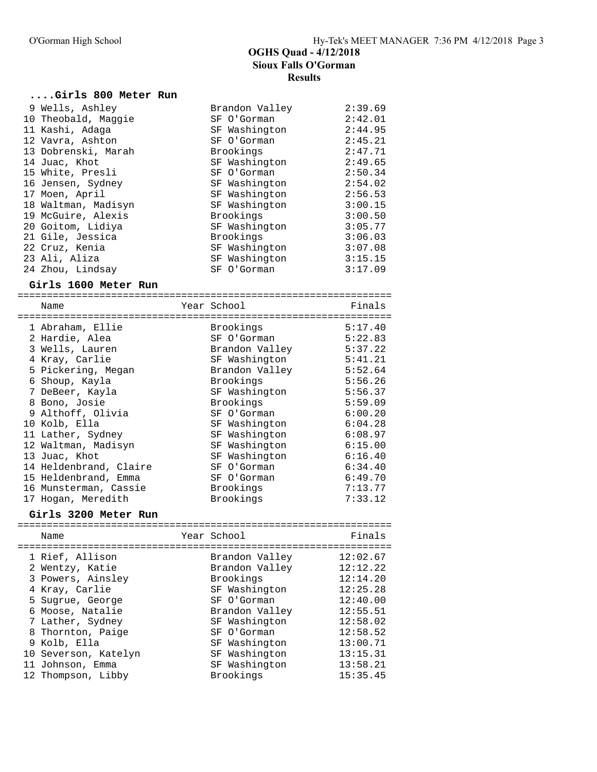### **....Girls 800 Meter Run**

| 9 Wells, Ashley     | Brandon Valley | 2:39.69 |
|---------------------|----------------|---------|
| 10 Theobald, Maggie | SF O'Gorman    | 2:42.01 |
| 11 Kashi, Adaga     | SF Washington  | 2:44.95 |
| 12 Vavra, Ashton    | SF O'Gorman    | 2:45.21 |
| 13 Dobrenski, Marah | Brookings      | 2:47.71 |
| 14 Juac, Khot       | SF Washington  | 2:49.65 |
| 15 White, Presli    | SF O'Gorman    | 2:50.34 |
| 16 Jensen, Sydney   | SF Washington  | 2:54.02 |
| 17 Moen, April      | SF Washington  | 2:56.53 |
| 18 Waltman, Madisyn | SF Washington  | 3:00.15 |
| 19 McGuire, Alexis  | Brookings      | 3:00.50 |
| 20 Goitom, Lidiya   | SF Washington  | 3:05.77 |
| 21 Gile, Jessica    | Brookings      | 3:06.03 |
| 22 Cruz, Kenia      | SF Washington  | 3:07.08 |
| 23 Ali, Aliza       | SF Washington  | 3:15.15 |
| 24 Zhou, Lindsay    | SF O'Gorman    | 3:17.09 |
|                     |                |         |

#### **Girls 1600 Meter Run**

================================================================ Name **The School School** Finals ================================================================ 1 Abraham, Ellie Brookings 5:17.40 2 Hardie, Alea SF O'Gorman 5:22.83 3 Wells, Lauren Brandon Valley 5:37.22 4 Kray, Carlie SF Washington 5:41.21 5 Pickering, Megan Brandon Valley 5:52.64 6 Shoup, Kayla Brookings 5:56.26 7 DeBeer, Kayla SF Washington 5:56.37 8 Bono, Josie Brookings 5:59.09 9 Althoff, Olivia SF O'Gorman 6:00.20 10 Kolb, Ella SF Washington 6:04.28 11 Lather, Sydney SF Washington 6:08.97 12 Waltman, Madisyn SF Washington 6:15.00 13 Juac, Khot SF Washington 6:16.40 14 Heldenbrand, Claire SF O'Gorman 6:34.40 15 Heldenbrand, Emma SF O'Gorman 6:49.70 16 Munsterman, Cassie Brookings 7:13.77 17 Hogan, Meredith Brookings 7:33.12

#### **Girls 3200 Meter Run**

|  | Name                                                                                                                                                       | Year School                                                                                                                     | Finals                                                                                       |
|--|------------------------------------------------------------------------------------------------------------------------------------------------------------|---------------------------------------------------------------------------------------------------------------------------------|----------------------------------------------------------------------------------------------|
|  | 1 Rief, Allison<br>2 Wentzy, Katie<br>3 Powers, Ainsley<br>4 Kray, Carlie<br>5 Sugrue, George<br>6 Moose, Natalie<br>7 Lather, Sydney<br>8 Thornton, Paige | Brandon Valley<br>Brandon Valley<br>Brookings<br>SF Washington<br>SF O'Gorman<br>Brandon Valley<br>SF Washington<br>SF O'Gorman | 12:02.67<br>12:12.22<br>12:14.20<br>12:25.28<br>12:40.00<br>12:55.51<br>12:58.02<br>12:58.52 |
|  | 9 Kolb, Ella<br>10 Severson, Katelyn                                                                                                                       | SF Washington<br>SF Washington                                                                                                  | 13:00.71<br>13:15.31                                                                         |
|  | 11 Johnson, Emma<br>12 Thompson, Libby                                                                                                                     | SF Washington<br>Brookings                                                                                                      | 13:58.21<br>15:35.45                                                                         |
|  |                                                                                                                                                            |                                                                                                                                 |                                                                                              |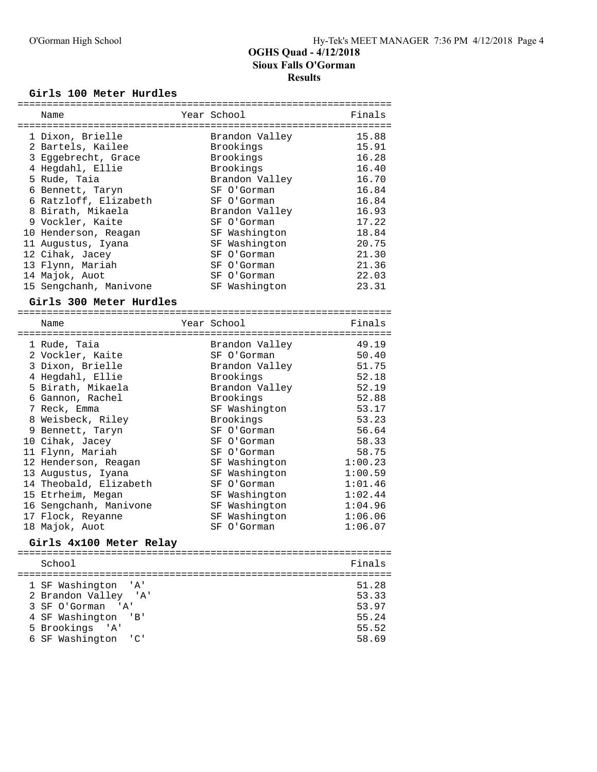### **Girls 100 Meter Hurdles**

| Name                              | Year School                  | Finals             |
|-----------------------------------|------------------------------|--------------------|
|                                   |                              |                    |
| 1 Dixon, Brielle                  | Brandon Valley               | 15.88              |
| 2 Bartels, Kailee                 | Brookings                    | 15.91              |
| 3 Eggebrecht, Grace               | Brookings                    | 16.28              |
| 4 Hegdahl, Ellie                  | Brookings                    | 16.40              |
| 5 Rude, Taia                      | Brandon Valley               | 16.70              |
| 6 Bennett, Taryn                  | SF O'Gorman                  | 16.84              |
| 6 Ratzloff, Elizabeth             | SF O'Gorman                  | 16.84              |
| 8 Birath, Mikaela                 | Brandon Valley               | 16.93              |
| 9 Vockler, Kaite                  | SF O'Gorman                  | 17.22              |
| 10 Henderson, Reagan              | SF Washington                | 18.84              |
| 11 Augustus, Iyana                | SF Washington                | 20.75              |
| 12 Cihak, Jacey                   | SF O'Gorman                  | 21.30              |
| 13 Flynn, Mariah                  | SF O'Gorman                  | 21.36              |
| 14 Majok, Auot                    | SF O'Gorman                  | 22.03              |
| 15 Sengchanh, Manivone            | SF Washington                | 23.31              |
|                                   |                              |                    |
| Girls 300 Meter Hurdles           |                              |                    |
| Name                              | Year School                  | Finals             |
|                                   |                              |                    |
| 1 Rude, Taia                      | Brandon Valley               | 49.19              |
| 2 Vockler, Kaite                  | SF O'Gorman                  | 50.40              |
| 3 Dixon, Brielle                  | Brandon Valley               | 51.75              |
| 4 Hegdahl, Ellie                  | Brookings                    | 52.18              |
| 5 Birath, Mikaela                 | Brandon Valley               | 52.19              |
| 6 Gannon, Rachel                  | Brookings                    | 52.88              |
| 7 Reck, Emma                      | SF Washington                | 53.17              |
| 8 Weisbeck, Riley                 | Brookings                    | 53.23              |
| 9 Bennett, Taryn                  | SF O'Gorman                  | 56.64              |
| 10 Cihak, Jacey                   | SF O'Gorman                  | 58.33              |
| 11 Flynn, Mariah                  | SF O'Gorman                  | 58.75              |
| 12 Henderson, Reagan              | SF Washington                | 1:00.23            |
| 13 Augustus, Iyana                | SF Washington                | 1:00.59            |
| 14 Theobald, Elizabeth            | SF O'Gorman                  | 1:01.46            |
| 15 Etrheim, Megan                 | SF Washington                | 1:02.44            |
| 16 Sengchanh, Manivone            | SF Washington                | 1:04.96            |
|                                   |                              |                    |
| 17 Flock, Reyanne                 | SF Washington<br>SF O'Gorman | 1:06.06<br>1:06.07 |
| 18 Majok, Auot                    |                              |                    |
| Girls 4x100 Meter Relay           |                              |                    |
| School                            |                              | Finals             |
| ===================               | ===============              |                    |
| 1 SF Washington<br>' A '          |                              | 51.28              |
| 2 Brandon Valley<br>'A'           |                              | 53.33              |
| 3 SF O'Gorman<br>' A'             |                              | 53.97              |
| 4 SF Washington<br>'B'            |                              | 55.24              |
| 5 Brookings<br>' A '              |                              | 55.52              |
| 6 SF Washington<br>C <sub>1</sub> |                              | 58.69              |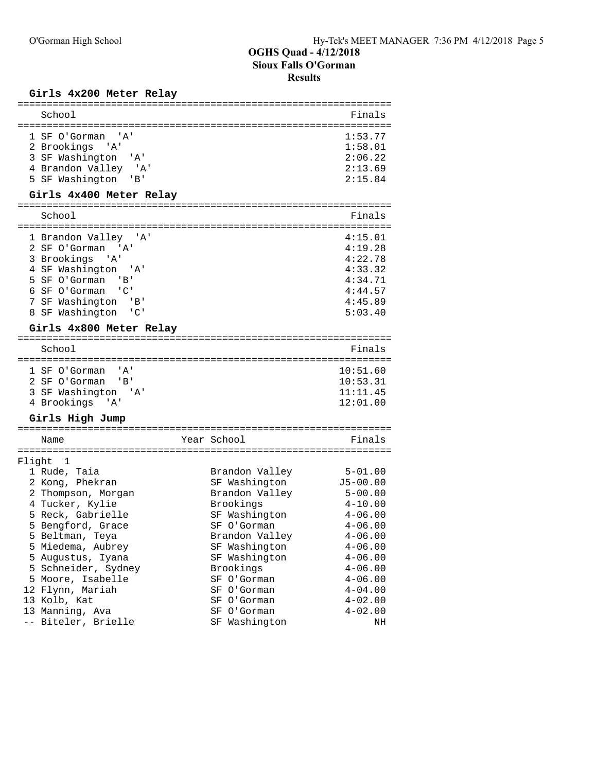### **Girls 4x200 Meter Relay**

| School                                                                                                                                                                                                                             |                                                                               | Finals                                                                               |
|------------------------------------------------------------------------------------------------------------------------------------------------------------------------------------------------------------------------------------|-------------------------------------------------------------------------------|--------------------------------------------------------------------------------------|
| 1 SF O'Gorman<br>'A'<br>2 Brookings<br>'' A '<br>3 SF Washington<br>'A'<br>4 Brandon Valley 'A'<br>5 SF Washington 'B'<br>Girls 4x400 Meter Relay                                                                                  |                                                                               | 1:53.77<br>1:58.01<br>2:06.22<br>2:13.69<br>2:15.84                                  |
| School                                                                                                                                                                                                                             |                                                                               | Finals                                                                               |
| 1 Brandon Valley 'A'<br>2 SF O'Gorman 'A'<br>3 Brookings<br>'A'<br>4 SF Washington<br>' A '<br>5 SF O'Gorman<br>'B'<br>6 SF O'Gorman<br>$\overline{C}$<br>7 SF Washington<br>'B'<br>8 SF Washington 'C'<br>Girls 4x800 Meter Relay |                                                                               | 4:15.01<br>4:19.28<br>4:22.78<br>4:33.32<br>4:34.71<br>4:44.57<br>4:45.89<br>5:03.40 |
| School                                                                                                                                                                                                                             |                                                                               | Finals                                                                               |
| 1 SF O'Gorman<br>' A '<br>2 SF O'Gorman<br>'' B<br>3 SF Washington 'A'<br>4 Brookings 'A'<br>Girls High Jump                                                                                                                       |                                                                               | 10:51.60<br>10:53.31<br>11:11.45<br>12:01.00                                         |
| Name                                                                                                                                                                                                                               | Year School                                                                   | Finals                                                                               |
| ==========<br>Flight<br>$\mathbf{1}$<br>1 Rude, Taia<br>2 Kong, Phekran                                                                                                                                                            | ==========<br>Brandon Valley<br>SF Washington                                 | $5 - 01.00$<br>$J5 - 00.00$                                                          |
| 2 Thompson, Morgan<br>4 Tucker, Kylie<br>5 Reck, Gabrielle<br>5 Bengford, Grace<br>5 Beltman, Teya                                                                                                                                 | Brandon Valley<br>Brookings<br>SF Washington<br>SF O'Gorman<br>Brandon Valley | $5 - 00.00$<br>$4 - 10.00$<br>$4 - 06.00$<br>$4 - 06.00$<br>$4 - 06.00$              |
| 5 Miedema, Aubrey<br>5 Augustus, Iyana<br>5 Schneider, Sydney<br>5 Moore, Isabelle<br>12 Flynn, Mariah                                                                                                                             | SF Washington<br>SF Washington<br>Brookings<br>SF O'Gorman<br>SF O'Gorman     | $4 - 06.00$<br>$4 - 06.00$<br>$4 - 06.00$<br>$4 - 06.00$<br>$4 - 04.00$              |
| 13 Kolb, Kat<br>13 Manning, Ava<br>-- Biteler, Brielle                                                                                                                                                                             | SF O'Gorman<br>SF O'Gorman<br>SF Washington                                   | $4 - 02.00$<br>$4 - 02.00$<br>ΝH                                                     |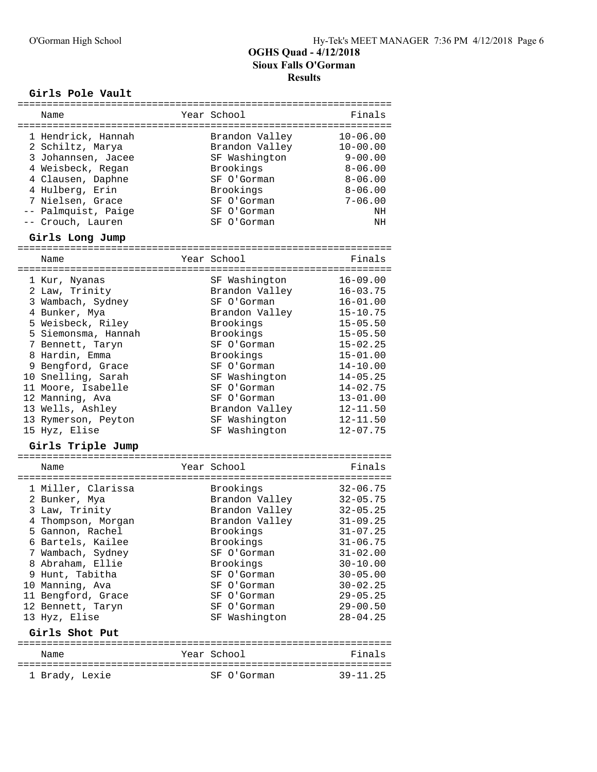### **Girls Pole Vault**

| ===========                                                                                                                                                                                                                                                                                                                  |                                                                                                                                                                                                                                          |                                                                                                                                                                                                                                              |
|------------------------------------------------------------------------------------------------------------------------------------------------------------------------------------------------------------------------------------------------------------------------------------------------------------------------------|------------------------------------------------------------------------------------------------------------------------------------------------------------------------------------------------------------------------------------------|----------------------------------------------------------------------------------------------------------------------------------------------------------------------------------------------------------------------------------------------|
| Name                                                                                                                                                                                                                                                                                                                         | Year School                                                                                                                                                                                                                              | Finals                                                                                                                                                                                                                                       |
| 1 Hendrick, Hannah<br>2 Schiltz, Marya<br>3 Johannsen, Jacee<br>4 Weisbeck, Regan<br>4 Clausen, Daphne<br>4 Hulberg, Erin<br>7 Nielsen, Grace<br>-- Palmquist, Paige<br>-- Crouch, Lauren                                                                                                                                    | Brandon Valley<br>Brandon Valley<br>SF Washington<br>Brookings<br>SF O'Gorman<br>Brookings<br>SF O'Gorman<br>SF O'Gorman<br>SF O'Gorman                                                                                                  | $10 - 06.00$<br>$10 - 00.00$<br>$9 - 00.00$<br>$8 - 06.00$<br>$8 - 06.00$<br>$8 - 06.00$<br>$7 - 06.00$<br>NH<br>NH                                                                                                                          |
| Girls Long Jump                                                                                                                                                                                                                                                                                                              |                                                                                                                                                                                                                                          |                                                                                                                                                                                                                                              |
| Name                                                                                                                                                                                                                                                                                                                         | Year School                                                                                                                                                                                                                              | Finals                                                                                                                                                                                                                                       |
|                                                                                                                                                                                                                                                                                                                              |                                                                                                                                                                                                                                          |                                                                                                                                                                                                                                              |
| 1 Kur, Nyanas<br>2 Law, Trinity<br>3 Wambach, Sydney<br>4 Bunker, Mya<br>5 Weisbeck, Riley<br>5 Siemonsma, Hannah<br>7 Bennett, Taryn<br>8 Hardin, Emma<br>9 Bengford, Grace<br>10 Snelling, Sarah<br>11 Moore, Isabelle<br>12 Manning, Ava<br>13 Wells, Ashley<br>13 Rymerson, Peyton<br>15 Hyz, Elise<br>Girls Triple Jump | SF Washington<br>Brandon Valley<br>SF O'Gorman<br>Brandon Valley<br>Brookings<br>Brookings<br>SF O'Gorman<br>Brookings<br>SF O'Gorman<br>SF Washington<br>SF O'Gorman<br>SF O'Gorman<br>Brandon Valley<br>SF Washington<br>SF Washington | $16 - 09.00$<br>$16 - 03.75$<br>$16 - 01.00$<br>$15 - 10.75$<br>$15 - 05.50$<br>$15 - 05.50$<br>$15 - 02.25$<br>$15 - 01.00$<br>$14 - 10.00$<br>$14 - 05.25$<br>$14 - 02.75$<br>$13 - 01.00$<br>$12 - 11.50$<br>$12 - 11.50$<br>$12 - 07.75$ |
| Name                                                                                                                                                                                                                                                                                                                         | Year School                                                                                                                                                                                                                              | Finals                                                                                                                                                                                                                                       |
| 1 Miller, Clarissa<br>2 Bunker, Mya<br>3 Law, Trinity<br>4 Thompson, Morgan<br>5 Gannon, Rachel<br>6 Bartels, Kailee<br>7 Wambach, Sydney<br>8 Abraham, Ellie<br>9 Hunt, Tabitha<br>10 Manning, Ava<br>11 Bengford, Grace<br>12 Bennett, Taryn<br>13 Hyz, Elise<br>Girls Shot Put                                            | Brookings<br>Brandon Valley<br>Brandon Valley<br>Brandon Valley<br>Brookings<br>Brookings<br>SF O'Gorman<br>Brookings<br>SF O'Gorman<br>SF O'Gorman<br>SF O'Gorman<br>SF O'Gorman<br>SF Washington                                       | $32 - 06.75$<br>$32 - 05.75$<br>$32 - 05.25$<br>$31 - 09.25$<br>$31 - 07.25$<br>$31 - 06.75$<br>$31 - 02.00$<br>$30 - 10.00$<br>$30 - 05.00$<br>$30 - 02.25$<br>$29 - 05.25$<br>$29 - 00.50$<br>$28 - 04.25$                                 |
| Name                                                                                                                                                                                                                                                                                                                         | Year School                                                                                                                                                                                                                              | Finals                                                                                                                                                                                                                                       |
|                                                                                                                                                                                                                                                                                                                              |                                                                                                                                                                                                                                          |                                                                                                                                                                                                                                              |
| 1 Brady, Lexie                                                                                                                                                                                                                                                                                                               | SF O'Gorman                                                                                                                                                                                                                              | $39 - 11.25$                                                                                                                                                                                                                                 |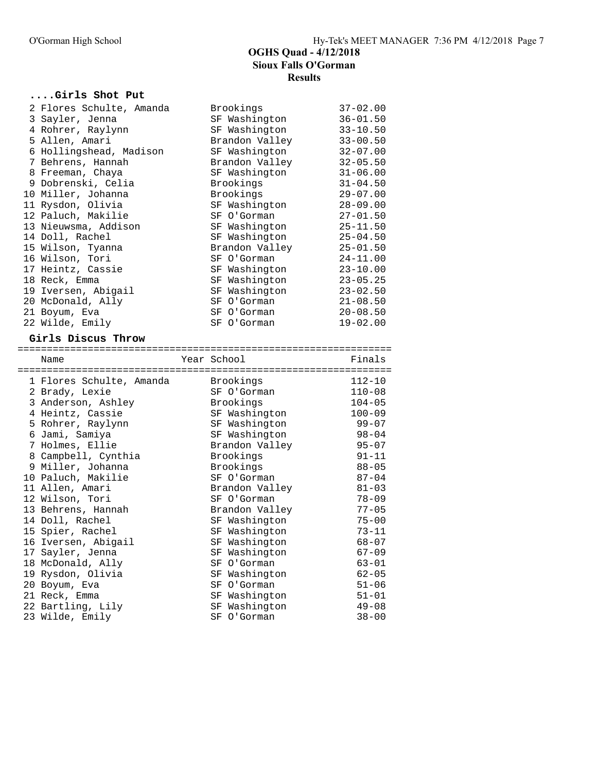### **....Girls Shot Put**

| 2 Flores Schulte, Amanda | Brookings      | $37 - 02.00$ |
|--------------------------|----------------|--------------|
| 3 Sayler, Jenna          | SF Washington  | $36 - 01.50$ |
| 4 Rohrer, Raylynn        | SF Washington  | $33 - 10.50$ |
| 5 Allen, Amari           | Brandon Valley | $33 - 00.50$ |
| 6 Hollingshead, Madison  | SF Washington  | $32 - 07.00$ |
| 7 Behrens, Hannah        | Brandon Valley | $32 - 05.50$ |
| 8 Freeman, Chaya         | SF Washington  | $31 - 06.00$ |
| 9 Dobrenski, Celia       | Brookings      | $31 - 04.50$ |
| 10 Miller, Johanna       | Brookings      | $29 - 07.00$ |
| 11 Rysdon, Olivia        | SF Washington  | $28 - 09.00$ |
| 12 Paluch, Makilie       | SF O'Gorman    | $27 - 01.50$ |
| 13 Nieuwsma, Addison     | SF Washington  | $25 - 11.50$ |
| 14 Doll, Rachel          | SF Washington  | 25-04.50     |
| 15 Wilson, Tyanna        | Brandon Valley | $25 - 01.50$ |
| 16 Wilson, Tori          | SF O'Gorman    | $24 - 11.00$ |
| 17 Heintz, Cassie        | SF Washington  | $23 - 10.00$ |
| 18 Reck, Emma            | SF Washington  | $23 - 05.25$ |
| 19 Iversen, Abigail      | SF Washington  | $23 - 02.50$ |
| 20 McDonald, Ally        | SF O'Gorman    | $21 - 08.50$ |
| 21 Boyum, Eva            | SF O'Gorman    | $20 - 08.50$ |
| 22 Wilde, Emily          | SF O'Gorman    | $19 - 02.00$ |

### **Girls Discus Throw**

| Name                     | Year School    | Finals     |
|--------------------------|----------------|------------|
| 1 Flores Schulte, Amanda | Brookings      | $112 - 10$ |
| 2 Brady, Lexie           | SF O'Gorman    | $110 - 08$ |
| 3 Anderson, Ashley       | Brookings      | $104 - 05$ |
| 4 Heintz, Cassie         | SF Washington  | $100 - 09$ |
| 5 Rohrer, Raylynn        | SF Washington  | $99 - 07$  |
| 6 Jami, Samiya           | SF Washington  | $98 - 04$  |
| 7 Holmes, Ellie          | Brandon Valley | $95 - 07$  |
| 8 Campbell, Cynthia      | Brookings      | $91 - 11$  |
| 9 Miller, Johanna        | Brookings      | $88 - 05$  |
| 10 Paluch, Makilie       | SF O'Gorman    | $87 - 04$  |
| 11 Allen, Amari          | Brandon Valley | $81 - 03$  |
| 12 Wilson, Tori          | SF O'Gorman    | $78 - 09$  |
| 13 Behrens, Hannah       | Brandon Valley | $77 - 05$  |
| 14 Doll, Rachel          | SF Washington  | $75 - 00$  |
| 15 Spier, Rachel         | SF Washington  | $73 - 11$  |
| 16 Iversen, Abigail      | SF Washington  | $68 - 07$  |
| 17 Sayler, Jenna         | SF Washington  | $67 - 09$  |
| 18 McDonald, Ally        | SF O'Gorman    | $63 - 01$  |
| 19 Rysdon, Olivia        | SF Washington  | $62 - 05$  |
| 20 Boyum, Eva            | SF O'Gorman    | $51 - 06$  |
| 21 Reck, Emma            | SF Washington  | $51 - 01$  |
| 22 Bartling, Lily        | SF Washington  | $49 - 08$  |
| 23 Wilde, Emily          | SF O'Gorman    | $38 - 00$  |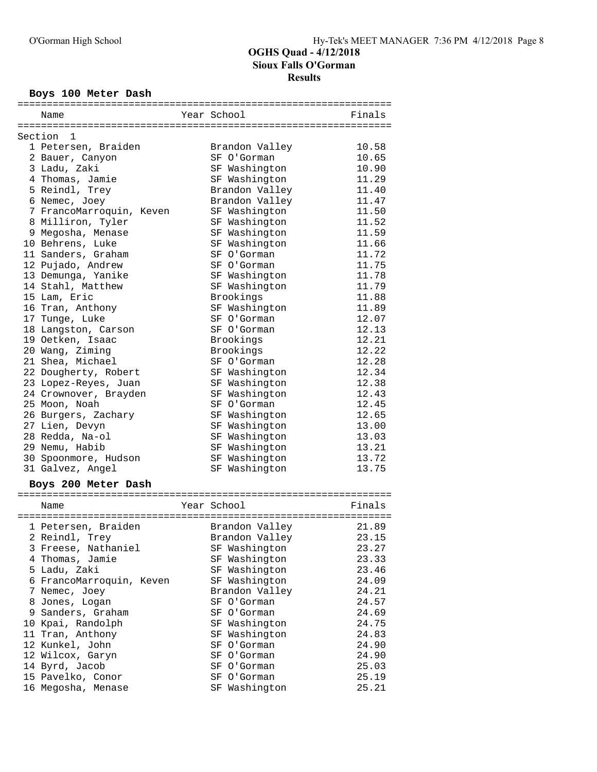### **Boys 100 Meter Dash**

| Name                     | Year School    | Finals |
|--------------------------|----------------|--------|
| Section 1                |                |        |
| 1 Petersen, Braiden      | Brandon Valley | 10.58  |
| 2 Bauer, Canyon          | SF O'Gorman    | 10.65  |
| 3 Ladu, Zaki             | SF Washington  | 10.90  |
| 4 Thomas, Jamie          | SF Washington  | 11.29  |
| 5 Reindl, Trey           | Brandon Valley | 11.40  |
| 6 Nemec, Joey            | Brandon Valley | 11.47  |
| 7 FrancoMarroquin, Keven | SF Washington  | 11.50  |
| 8 Milliron, Tyler        | SF Washington  | 11.52  |
| 9 Megosha, Menase        | SF Washington  | 11.59  |
| 10 Behrens, Luke         | SF Washington  | 11.66  |
| 11 Sanders, Graham       | SF O'Gorman    | 11.72  |
| 12 Pujado, Andrew        | SF O'Gorman    | 11.75  |
| 13 Demunga, Yanike       | SF Washington  | 11.78  |
| 14 Stahl, Matthew        | SF Washington  | 11.79  |
| 15 Lam, Eric             | Brookings      | 11.88  |
| 16 Tran, Anthony         | SF Washington  | 11.89  |
| 17 Tunge, Luke           | SF O'Gorman    | 12.07  |
| 18 Langston, Carson      | SF O'Gorman    | 12.13  |
| 19 Oetken, Isaac         | Brookings      | 12.21  |
| 20 Wang, Ziming          | Brookings      | 12.22  |
| 21 Shea, Michael         | SF O'Gorman    | 12.28  |
| 22 Dougherty, Robert     | SF Washington  | 12.34  |
| 23 Lopez-Reyes, Juan     | SF Washington  | 12.38  |
| 24 Crownover, Brayden    | SF Washington  | 12.43  |
| 25 Moon, Noah            | SF O'Gorman    | 12.45  |
| 26 Burgers, Zachary      | SF Washington  | 12.65  |
| 27 Lien, Devyn           | SF Washington  | 13.00  |
| 28 Redda, Na-ol          | SF Washington  | 13.03  |
| 29 Nemu, Habib           | SF Washington  | 13.21  |
| 30 Spoonmore, Hudson     | SF Washington  | 13.72  |
| 31 Galvez, Angel         | SF Washington  | 13.75  |

### **Boys 200 Meter Dash**

|   | boys zoo mecel basii   |                |        |
|---|------------------------|----------------|--------|
|   | Name                   | Year School    | Finals |
|   | 1 Petersen, Braiden    | Brandon Valley | 21.89  |
|   | 2 Reindl, Trey         | Brandon Valley | 23.15  |
|   | 3 Freese, Nathaniel    | SF Washington  | 23.27  |
|   | 4 Thomas, Jamie        | SF Washington  | 23.33  |
|   | 5 Ladu, Zaki           | SF Washington  | 23.46  |
| 6 | FrancoMarroquin, Keven | SF Washington  | 24.09  |
|   | 7 Nemec, Joey          | Brandon Valley | 24.21  |
|   | 8 Jones, Logan         | SF O'Gorman    | 24.57  |
|   | 9 Sanders, Graham      | SF O'Gorman    | 24.69  |
|   | 10 Kpai, Randolph      | SF Washington  | 24.75  |
|   | 11 Tran, Anthony       | SF Washington  | 24.83  |
|   | 12 Kunkel, John        | SF O'Gorman    | 24.90  |
|   | 12 Wilcox, Garyn       | SF O'Gorman    | 24.90  |
|   | 14 Byrd, Jacob         | SF O'Gorman    | 25.03  |
|   | 15 Pavelko, Conor      | SF O'Gorman    | 25.19  |
|   | 16 Megosha, Menase     | SF Washington  | 25.21  |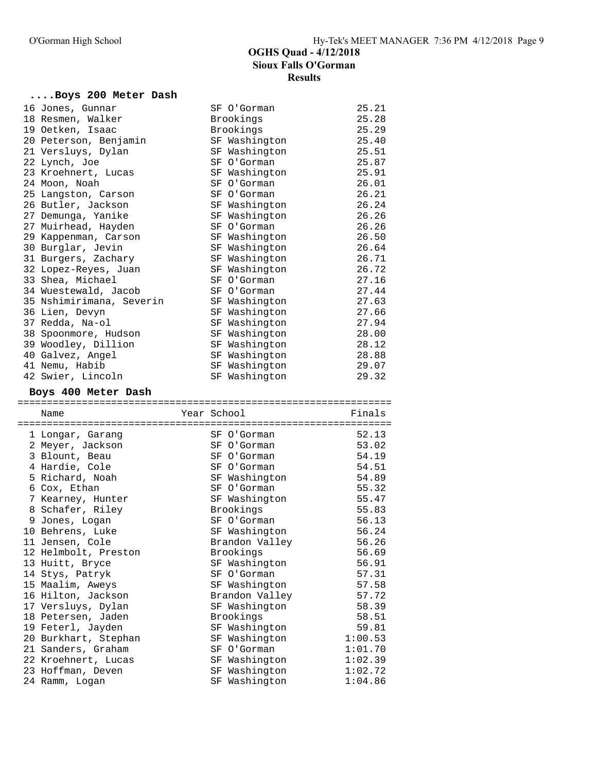## **....Boys 200 Meter Dash**

| 16 Jones, Gunnar                         | SF O'Gorman                     | 25.21          |
|------------------------------------------|---------------------------------|----------------|
| 18 Resmen, Walker                        | Brookings                       | 25.28          |
| 19 Oetken, Isaac                         | Brookings                       | 25.29          |
| 20 Peterson, Benjamin                    | SF Washington                   | 25.40          |
| 21 Versluys, Dylan                       | SF Washington                   | 25.51          |
| 22 Lynch, Joe                            | SF O'Gorman                     | 25.87          |
| 23 Kroehnert, Lucas                      | SF Washington                   | 25.91          |
| 24 Moon, Noah                            | SF O'Gorman                     | 26.01          |
| 25 Langston, Carson                      | SF O'Gorman                     | 26.21          |
| 26 Butler, Jackson                       | SF Washington                   | 26.24          |
| 27 Demunga, Yanike                       | SF Washington                   | 26.26          |
| 27 Muirhead, Hayden                      | SF O'Gorman                     | 26.26          |
| 29 Kappenman, Carson                     | SF Washington                   | 26.50          |
| 30 Burglar, Jevin                        | SF Washington                   | 26.64          |
| 31 Burgers, Zachary                      | SF Washington                   | 26.71          |
| 32 Lopez-Reyes, Juan                     | SF Washington                   | 26.72          |
| 33 Shea, Michael                         | SF O'Gorman                     | 27.16          |
| 34 Wuestewald, Jacob                     | SF O'Gorman                     | 27.44          |
| 35 Nshimirimana, Severin                 | SF Washington                   | 27.63          |
| 36 Lien, Devyn                           | SF Washington                   | 27.66          |
| 37 Redda, Na-ol                          | SF Washington                   | 27.94          |
| 38 Spoonmore, Hudson                     | SF Washington                   | 28.00          |
| 39 Woodley, Dillion                      | SF Washington                   | 28.12          |
| 40 Galvez, Angel                         | SF Washington                   | 28.88          |
| 41 Nemu, Habib                           | SF Washington                   | 29.07          |
| 42 Swier, Lincoln                        | SF Washington                   | 29.32          |
|                                          |                                 |                |
| Boys 400 Meter Dash                      |                                 |                |
|                                          |                                 |                |
| Name                                     | Year School                     | Finals         |
|                                          |                                 |                |
| 1 Longar, Garang                         | SF O'Gorman                     | 52.13          |
| 2 Meyer, Jackson                         | SF O'Gorman                     | 53.02          |
| 3 Blount, Beau                           | SF O'Gorman                     | 54.19          |
| 4 Hardie, Cole                           | SF O'Gorman                     | 54.51          |
| 5 Richard, Noah                          | SF Washington                   | 54.89          |
| 6 Cox, Ethan                             | SF O'Gorman                     | 55.32          |
| 7 Kearney, Hunter                        | SF Washington                   | 55.47          |
| 8 Schafer, Riley                         | Brookings                       | 55.83          |
| 9 Jones, Logan                           | SF O'Gorman                     | 56.13          |
|                                          | SF Washington                   | 56.24          |
| 10 Behrens, Luke                         | Brandon Valley                  | 56.26          |
| 11 Jensen, Cole                          | Brookings                       | 56.69          |
| 12 Helmbolt, Preston                     |                                 | 56.91          |
| 13 Huitt, Bryce                          | SF Washington<br>SF O'Gorman    | 57.31          |
| 14 Stys, Patryk                          | SF Washington                   |                |
| 15 Maalim, Aweys                         |                                 | 57.58          |
| 16 Hilton, Jackson<br>17 Versluys, Dylan | Brandon Valley<br>SF Washington | 57.72<br>58.39 |
| 18 Petersen, Jaden                       | Brookings                       | 58.51          |
| 19 Feterl, Jayden                        | SF Washington                   | 59.81          |
| 20 Burkhart, Stephan                     | SF Washington                   | 1:00.53        |
|                                          | SF O'Gorman                     | 1:01.70        |
| 21 Sanders, Graham                       | SF Washington                   | 1:02.39        |
| 22 Kroehnert, Lucas<br>23 Hoffman, Deven | SF Washington                   | 1:02.72        |
| 24 Ramm, Logan                           | SF Washington                   | 1:04.86        |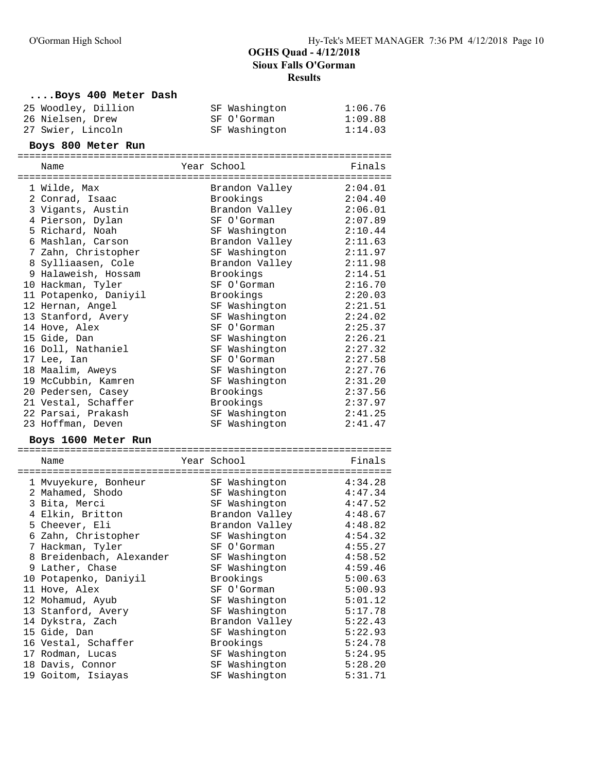### **....Boys 400 Meter Dash**

| 25 Woodley, Dillion | SF Washington | 1:06.76 |
|---------------------|---------------|---------|
| 26 Nielsen, Drew    | SF O'Gorman   | 1:09.88 |
| 27 Swier, Lincoln   | SF Washington | 1:14.03 |

### **Boys 800 Meter Run**

| Name                     | Year School    | Finals  |
|--------------------------|----------------|---------|
| 1 Wilde, Max             | Brandon Valley | 2:04.01 |
| 2 Conrad, Isaac          | Brookings      | 2:04.40 |
| 3 Vigants, Austin        | Brandon Valley | 2:06.01 |
| 4 Pierson, Dylan         | SF O'Gorman    | 2:07.89 |
| 5 Richard, Noah          | SF Washington  | 2:10.44 |
| 6 Mashlan, Carson        | Brandon Valley | 2:11.63 |
| 7 Zahn, Christopher      | SF Washington  | 2:11.97 |
| 8 Sylliaasen, Cole       | Brandon Valley | 2:11.98 |
| 9 Halaweish, Hossam      | Brookings      | 2:14.51 |
| 10 Hackman, Tyler        | SF O'Gorman    | 2:16.70 |
| 11 Potapenko, Daniyil    | Brookings      | 2:20.03 |
| 12 Hernan, Angel         | SF Washington  | 2:21.51 |
| 13 Stanford, Avery       | SF Washington  | 2:24.02 |
| 14 Hove, Alex            | SF O'Gorman    | 2:25.37 |
| 15 Gide, Dan             | SF Washington  | 2:26.21 |
| 16 Doll, Nathaniel       | SF Washington  | 2:27.32 |
| 17 Lee, Ian              | SF O'Gorman    | 2:27.58 |
| 18 Maalim, Aweys         | SF Washington  | 2:27.76 |
| 19 McCubbin, Kamren      | SF Washington  | 2:31.20 |
| 20 Pedersen, Casey       | Brookings      | 2:37.56 |
| 21 Vestal, Schaffer      | Brookings      | 2:37.97 |
| 22 Parsai, Prakash       | SF Washington  | 2:41.25 |
| 23 Hoffman, Deven        | SF Washington  | 2:41.47 |
| Boys 1600 Meter Run      |                |         |
| Name                     | Year School    | Finals  |
| 1 Mvuyekure, Bonheur     | SF Washington  | 4:34.28 |
| 2 Mahamed, Shodo         | SF Washington  | 4:47.34 |
| 3 Bita, Merci            | SF Washington  | 4:47.52 |
| 4 Elkin, Britton         | Brandon Valley | 4:48.67 |
| 5 Cheever, Eli           | Brandon Valley | 4:48.82 |
| 6 Zahn, Christopher      | SF Washington  | 4:54.32 |
| 7 Hackman, Tyler         | SF O'Gorman    | 4:55.27 |
| 8 Breidenbach, Alexander | SF Washington  | 4:58.52 |
| 9 Lather, Chase          | SF Washington  | 4:59.46 |
| 10 Potapenko, Daniyil    | Brookings      | 5:00.63 |
| 11 Hove, Alex            | SF O'Gorman    | 5:00.93 |
| 12 Mohamud, Ayub         | SF Washington  | 5:01.12 |
| 13 Stanford, Avery       | SF Washington  | 5:17.78 |
| 14 Dykstra, Zach         | Brandon Valley | 5:22.43 |
| 15 Gide, Dan             | SF Washington  | 5:22.93 |

 16 Vestal, Schaffer Brookings 5:24.78 17 Rodman, Lucas SF Washington 5:24.95 18 Davis, Connor SF Washington 5:28.20 19 Goitom, Isiayas SF Washington 5:31.71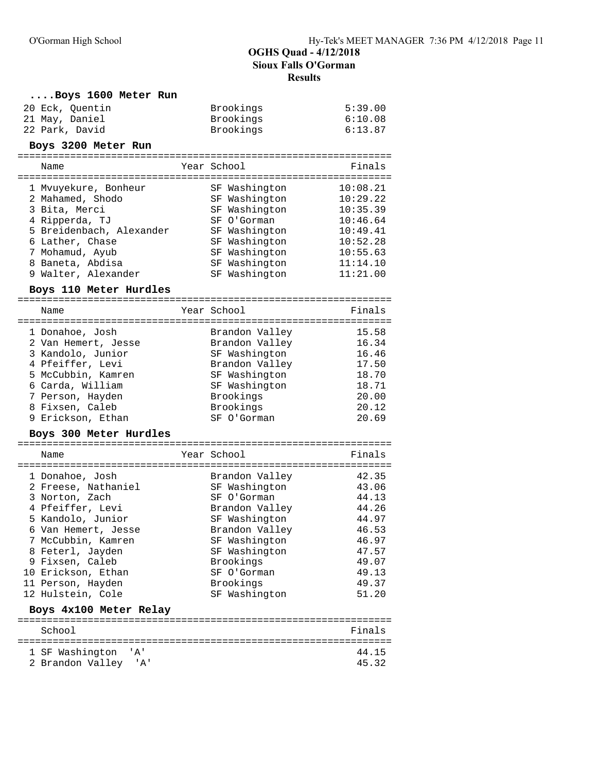| Boys 1600 Meter Run                 |                                  |                      |
|-------------------------------------|----------------------------------|----------------------|
| 20 Eck, Quentin<br>21 May, Daniel   | Brookings<br>Brookings           | 5:39.00<br>6:10.08   |
| 22 Park, David                      | Brookings                        | 6:13.87              |
| Boys 3200 Meter Run                 |                                  |                      |
| Name                                | Year School                      | Finals               |
| 1 Myuyekure, Bonheur                | SF Washington                    | 10:08.21             |
| 2 Mahamed, Shodo                    | SF Washington                    | 10:29.22             |
| 3 Bita, Merci                       | SF Washington                    | 10:35.39             |
| 4 Ripperda, TJ                      | SF O'Gorman                      | 10:46.64             |
| 5 Breidenbach, Alexander            | SF Washington                    | 10:49.41             |
| 6 Lather, Chase                     | SF Washington                    | 10:52.28             |
| 7 Mohamud, Ayub<br>8 Baneta, Abdisa | SF Washington                    | 10:55.63<br>11:14.10 |
| 9 Walter, Alexander                 | SF Washington<br>SF Washington   | 11:21.00             |
|                                     |                                  |                      |
| Boys 110 Meter Hurdles              |                                  |                      |
| Name                                | Year School                      | Finals               |
| 1 Donahoe, Josh                     |                                  | 15.58                |
| 2 Van Hemert, Jesse                 | Brandon Valley<br>Brandon Valley | 16.34                |
| 3 Kandolo, Junior                   | SF Washington                    | 16.46                |
| 4 Pfeiffer, Levi                    | Brandon Valley                   | 17.50                |
| 5 McCubbin, Kamren                  | SF Washington                    | 18.70                |
| 6 Carda, William                    | SF Washington                    | 18.71                |
| 7 Person, Hayden                    | Brookings                        | 20.00                |
| 8 Fixsen, Caleb                     | Brookings                        | 20.12                |
| 9 Erickson, Ethan                   | SF O'Gorman                      | 20.69                |
| Boys 300 Meter Hurdles              |                                  |                      |
| Name                                | Year School                      | Finals               |
| 1 Donahoe, Josh                     | Brandon Valley                   | 42.35                |
| 2 Freese, Nathaniel                 | SF Washington                    | 43.06                |
| 3 Norton, Zach                      | SF O'Gorman                      | 44.13                |
| 4 Pfeiffer, Levi                    | Brandon Valley                   | 44.26                |
| 5 Kandolo, Junior                   | SF Washington                    | 44.97                |
| 6 Van Hemert, Jesse                 | Brandon Valley                   | 46.53                |
| 7 McCubbin, Kamren                  | SF Washington                    | 46.97<br>47.57       |
| 8 Feterl, Jayden<br>9 Fixsen, Caleb | SF Washington<br>Brookings       | 49.07                |
| 10 Erickson, Ethan                  | SF O'Gorman                      | 49.13                |
| 11 Person, Hayden                   | Brookings                        | 49.37                |
| 12 Hulstein, Cole                   | SF Washington                    | 51.20                |
| Boys 4x100 Meter Relay              |                                  |                      |
| School                              |                                  | Finals               |
|                                     |                                  |                      |
| 1 SF Washington<br>' A '            |                                  | 44.15<br>45.32       |
| 2 Brandon Valley<br>'A'             |                                  |                      |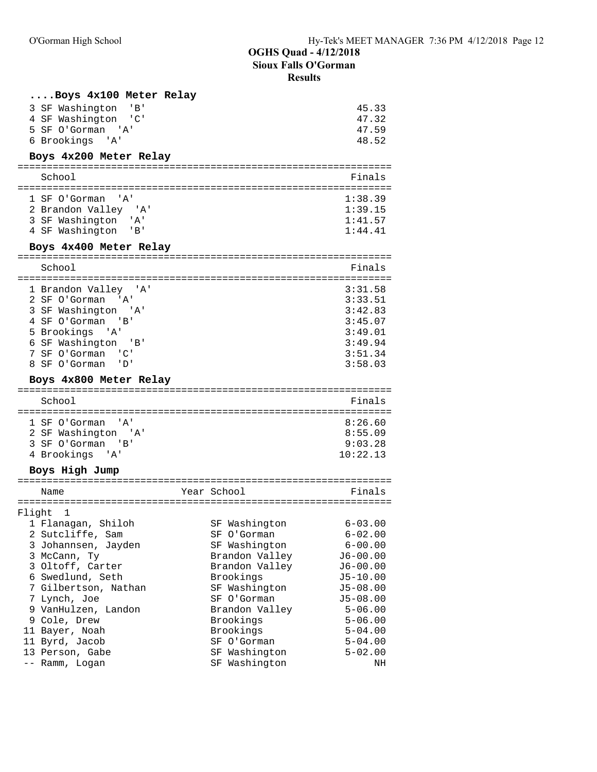### **Results**

| Boys 4x100 Meter Relay |         |
|------------------------|---------|
| SF Washington 'B'<br>3 | 45.33   |
| 4 SF Washington 'C'    | 47.32   |
| 5 SF O'Gorman 'A'      | 47.59   |
| 6 Brookings 'A'        | 48.52   |
| Boys 4x200 Meter Relay |         |
| School                 | Finals  |
| 1 SF O'Gorman<br>י A י | 1:38.39 |
| 2 Brandon Valley 'A'   | 1:39.15 |
| 3 SF Washington 'A'    | 1:41.57 |
| 4 SF Washington 'B'    | 1:44.41 |
| Boys 4x400 Meter Relay |         |
| School                 | Finals  |
| 1 Brandon Valley 'A'   | 3:31.58 |
| 2 SF O'Gorman 'A'      | 3:33.51 |
| 3 SF Washington 'A'    | 3:42.83 |
| 4 SF O'Gorman 'B'      | 3:45.07 |
| 5 Brookings 'A'        | 3:49.01 |
| SF Washington 'B'<br>6 | 3:49.94 |
| 7 SF O'Gorman 'C'      | 3:51.34 |

## 7 SF O'Gorman 'C' 3:51.34 8 SF O'Gorman 'D'

### **Boys 4x800 Meter Relay**

| School                                          | Finals             |
|-------------------------------------------------|--------------------|
| 1 SF O'Gorman 'A'<br>2 SF Washington 'A'        | 8:26.60<br>8:55.09 |
| 3 SF O'Gorman<br>$\cdot$ $\cdot$ B <sup>+</sup> | 9:03.28            |
| 4 Brookings 'A'                                 | 10:22.13           |

### **Boys High Jump**

|        | Name                 |  | Year School    | Finals       |  |  |
|--------|----------------------|--|----------------|--------------|--|--|
|        |                      |  |                |              |  |  |
| Flight | $\mathbf{1}$         |  |                |              |  |  |
|        | 1 Flanagan, Shiloh   |  | SF Washington  | $6 - 03.00$  |  |  |
|        | 2 Sutcliffe, Sam     |  | SF O'Gorman    | $6 - 02.00$  |  |  |
|        | 3 Johannsen, Jayden  |  | SF Washington  | $6 - 00.00$  |  |  |
|        | 3 McCann, Ty         |  | Brandon Valley | $J6 - 00.00$ |  |  |
|        | 3 Oltoff, Carter     |  | Brandon Valley | $J6 - 00.00$ |  |  |
|        | 6 Swedlund, Seth     |  | Brookings      | $J5 - 10.00$ |  |  |
|        | 7 Gilbertson, Nathan |  | SF Washington  | $J5 - 08.00$ |  |  |
|        | 7 Lynch, Joe         |  | SF O'Gorman    | $J5 - 08.00$ |  |  |
|        | 9 VanHulzen, Landon  |  | Brandon Valley | $5 - 06.00$  |  |  |
|        | 9 Cole, Drew         |  | Brookings      | $5 - 06.00$  |  |  |
|        | 11 Bayer, Noah       |  | Brookings      | $5 - 04.00$  |  |  |
|        | 11 Byrd, Jacob       |  | SF O'Gorman    | $5 - 04.00$  |  |  |
|        | 13 Person, Gabe      |  | SF Washington  | $5 - 02.00$  |  |  |
|        | -- Ramm, Logan       |  | SF Washington  | ΝH           |  |  |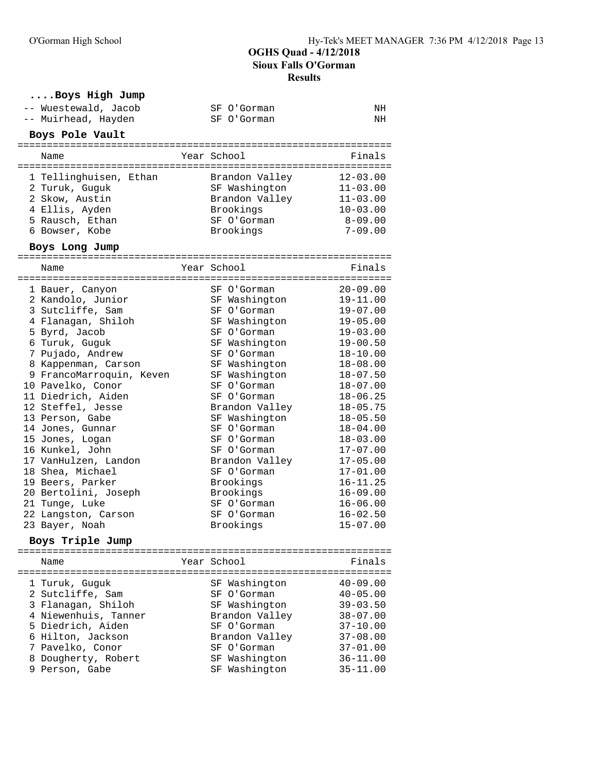| Boys High Jump                        |                            |                              |
|---------------------------------------|----------------------------|------------------------------|
| -- Wuestewald, Jacob                  | SF O'Gorman                | NH                           |
| -- Muirhead, Hayden                   | SF O'Gorman                | NH                           |
| Boys Pole Vault                       |                            |                              |
|                                       |                            |                              |
| Name                                  | Year School                | Finals                       |
|                                       |                            |                              |
| 1 Tellinghuisen, Ethan                | Brandon Valley             | $12 - 03.00$                 |
| 2 Turuk, Guguk                        | SF Washington              | $11 - 03.00$                 |
| 2 Skow, Austin                        | Brandon Valley             | $11 - 03.00$                 |
| 4 Ellis, Ayden                        | Brookings                  | $10 - 03.00$                 |
| 5 Rausch, Ethan                       | SF O'Gorman                | 8-09.00                      |
| 6 Bowser, Kobe                        | Brookings                  | $7 - 09.00$                  |
| Boys Long Jump                        |                            |                              |
| Name                                  | Year School                | Finals                       |
|                                       |                            |                              |
| 1 Bauer, Canyon                       | SF O'Gorman                | $20 - 09.00$                 |
| 2 Kandolo, Junior                     | SF Washington              | $19 - 11.00$                 |
| 3 Sutcliffe, Sam                      | SF O'Gorman                | $19 - 07.00$                 |
| 4 Flanagan, Shiloh                    | SF Washington              | $19 - 05.00$                 |
| 5 Byrd, Jacob                         | SF O'Gorman                | $19 - 03.00$                 |
| 6 Turuk, Guguk                        | SF Washington              | $19 - 00.50$                 |
| 7 Pujado, Andrew                      | SF O'Gorman                | $18 - 10.00$                 |
| 8 Kappenman, Carson                   | SF Washington              | $18 - 08.00$                 |
| 9 FrancoMarroquin, Keven              | SF Washington              | $18 - 07.50$                 |
| 10 Pavelko, Conor                     | SF O'Gorman                | $18 - 07.00$                 |
| 11 Diedrich, Aiden                    | SF O'Gorman                | $18 - 06.25$                 |
| 12 Steffel, Jesse                     | Brandon Valley             | $18 - 05.75$                 |
| 13 Person, Gabe                       | SF Washington              | $18 - 05.50$                 |
| 14 Jones, Gunnar                      | SF O'Gorman                | $18 - 04.00$                 |
| 15 Jones, Logan                       | SF O'Gorman                | $18 - 03.00$                 |
| 16 Kunkel, John                       | SF O'Gorman                | $17 - 07.00$                 |
| 17 VanHulzen, Landon                  | Brandon Valley             | $17 - 05.00$                 |
| 18 Shea, Michael                      | SF O'Gorman                | $17 - 01.00$                 |
| 19 Beers, Parker                      | Brookings                  | $16 - 11.25$                 |
| 20 Bertolini, Joseph                  | Brookings                  | $16 - 09.00$                 |
| 21 Tunge, Luke                        | SF O'Gorman<br>SF O'Gorman | $16 - 06.00$                 |
| 22 Langston, Carson<br>23 Bayer, Noah | Brookings                  | $16 - 02.50$<br>$15 - 07.00$ |
|                                       |                            |                              |
| Boys Triple Jump                      |                            |                              |
| Name                                  | Year School                | Finals                       |
| 1 Turuk, Guquk                        | SF Washington              | $40 - 09.00$                 |
| 2 Sutcliffe, Sam                      | SF O'Gorman                | $40 - 05.00$                 |
| 3 Flanagan, Shiloh                    | SF Washington              | $39 - 03.50$                 |
| 4 Niewenhuis, Tanner                  | Brandon Valley             | $38 - 07.00$                 |
| 5 Diedrich, Aiden                     | SF O'Gorman                | $37 - 10.00$                 |
| 6 Hilton, Jackson                     | Brandon Valley             | $37 - 08.00$                 |
| 7 Pavelko, Conor                      | SF O'Gorman                | $37 - 01.00$                 |
| 8 Dougherty, Robert                   | SF Washington              | $36 - 11.00$                 |
| 9 Person, Gabe                        | SF Washington              | $35 - 11.00$                 |
|                                       |                            |                              |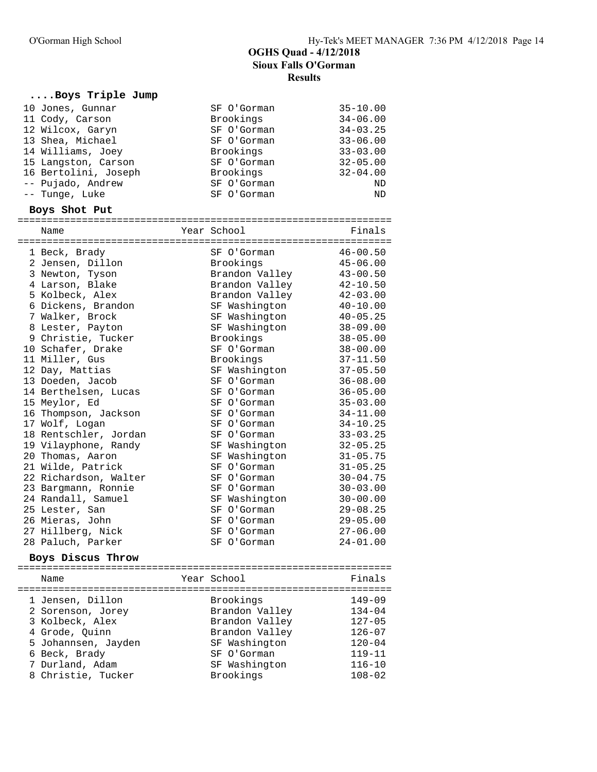#### **....Boys Triple Jump**

| 10 Jones, Gunnar  |                      | SF O'Gorman | $35 - 10.00$ |
|-------------------|----------------------|-------------|--------------|
| 11 Cody, Carson   |                      | Brookings   | $34 - 06.00$ |
| 12 Wilcox, Garyn  |                      | SF O'Gorman | $34 - 03.25$ |
| 13 Shea, Michael  |                      | SF O'Gorman | $33 - 06.00$ |
| 14 Williams, Joey |                      | Brookings   | $33 - 03.00$ |
|                   | 15 Langston, Carson  | SF O'Gorman | $32 - 05.00$ |
|                   | 16 Bertolini, Joseph | Brookings   | $32 - 04.00$ |
| -- Pujado, Andrew |                      | SF O'Gorman | ND           |
| -- Tunge, Luke    |                      | SF O'Gorman | <b>ND</b>    |

#### **Boys Shot Put**

| Name                  | Year School |                | Finals       |
|-----------------------|-------------|----------------|--------------|
| 1 Beck, Brady         |             | SF O'Gorman    | $46 - 00.50$ |
| 2 Jensen, Dillon      |             | Brookings      | $45 - 06.00$ |
| 3 Newton, Tyson       |             | Brandon Valley | $43 - 00.50$ |
| 4 Larson, Blake       |             | Brandon Valley | $42 - 10.50$ |
|                       |             |                | $42 - 03.00$ |
| 5 Kolbeck, Alex       |             | Brandon Valley | $40 - 10.00$ |
| 6 Dickens, Brandon    |             | SF Washington  |              |
| 7 Walker, Brock       |             | SF Washington  | $40 - 05.25$ |
| 8 Lester, Payton      |             | SF Washington  | $38 - 09.00$ |
| 9 Christie, Tucker    |             | Brookings      | $38 - 05.00$ |
| 10 Schafer, Drake     |             | SF O'Gorman    | $38 - 00.00$ |
| 11 Miller, Gus        |             | Brookings      | $37 - 11.50$ |
| 12 Day, Mattias       |             | SF Washington  | $37 - 05.50$ |
| 13 Doeden, Jacob      |             | SF O'Gorman    | $36 - 08.00$ |
| 14 Berthelsen, Lucas  |             | SF O'Gorman    | $36 - 05.00$ |
| 15 Meylor, Ed         |             | SF O'Gorman    | $35 - 03.00$ |
| 16 Thompson, Jackson  |             | SF O'Gorman    | $34 - 11.00$ |
| 17 Wolf, Logan        |             | SF O'Gorman    | $34 - 10.25$ |
| 18 Rentschler, Jordan |             | SF O'Gorman    | $33 - 03.25$ |
| 19 Vilayphone, Randy  |             | SF Washington  | $32 - 05.25$ |
| 20 Thomas, Aaron      |             | SF Washington  | $31 - 05.75$ |
| 21 Wilde, Patrick     |             | SF O'Gorman    | $31 - 05.25$ |
| 22 Richardson, Walter |             | SF O'Gorman    | $30 - 04.75$ |
| 23 Bargmann, Ronnie   |             | SF O'Gorman    | $30 - 03.00$ |
| 24 Randall, Samuel    |             | SF Washington  | $30 - 00.00$ |
| 25 Lester, San        |             | SF O'Gorman    | $29 - 08.25$ |
| 26 Mieras, John       |             | SF O'Gorman    | $29 - 05.00$ |
| 27 Hillberg, Nick     |             | SF O'Gorman    | $27 - 06.00$ |
| 28 Paluch, Parker     |             | SF O'Gorman    | $24 - 01.00$ |
|                       |             |                |              |

#### **Boys Discus Throw**

================================================================ Name **Year School** Finals ================================================================ 1 Jensen, Dillon Brookings 149-09 2 Sorenson, Jorey Brandon Valley 134-04 3 Kolbeck, Alex Brandon Valley 127-05 4 Grode, Quinn Brandon Valley 126-07 5 Johannsen, Jayden SF Washington 120-04 6 Beck, Brady SF O'Gorman 119-11 7 Durland, Adam SF Washington 116-10 8 Christie, Tucker Brookings 108-02